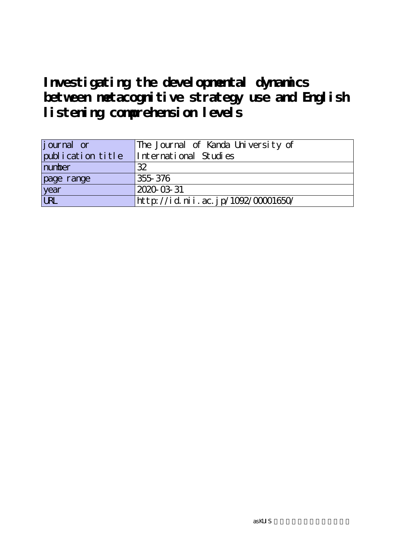# **Investigating the developmental dynamics between metacognitive strategy use and English listening comprehension levels**

| journal or        | The Journal of Kanda University of |
|-------------------|------------------------------------|
| publication title | International Studies              |
| number            | 32                                 |
| page range        | 355 376                            |
| year<br>URL       | 2020-03-31                         |
|                   | http://id.nii.ac.jp/1092/00001650/ |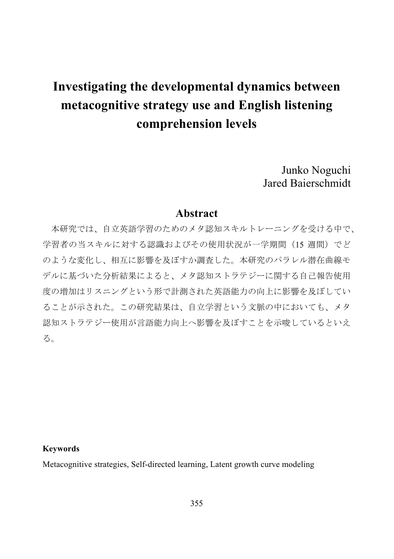# **Investigating the developmental dynamics between metacognitive strategy use and English listening comprehension levels**

Junko Noguchi Jared Baierschmidt

# **Abstract**

本研究では、自立英語学習のためのメタ認知スキルトレーニングを受ける中で、 学習者の当スキルに対する認識およびその使用状況が一学期間(15 週間)でど のような変化し、相互に影響を及ぼすか調査した。本研究のパラレル潜在曲線モ デルに基づいた分析結果によると、メタ認知ストラテジーに関する自己報告使用 度の増加はリスニングという形で計測された英語能力の向上に影響を及ぼしてい ることが示された。この研究結果は、自立学習という文脈の中においても、メタ 認知ストラテジー使用が言語能力向上へ影響を及ぼすことを示唆しているといえ る。

#### **Keywords**

Metacognitive strategies, Self-directed learning, Latent growth curve modeling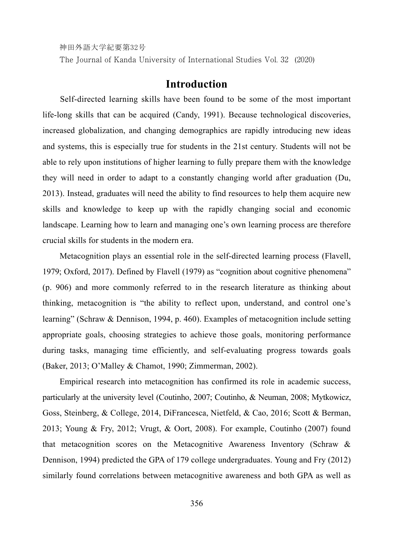The Journal of Kanda University of International Studies Vol. 32 (2020)

# **Introduction**

Self-directed learning skills have been found to be some of the most important life-long skills that can be acquired (Candy, 1991). Because technological discoveries, increased globalization, and changing demographics are rapidly introducing new ideas and systems, this is especially true for students in the 21st century. Students will not be able to rely upon institutions of higher learning to fully prepare them with the knowledge they will need in order to adapt to a constantly changing world after graduation (Du, 2013). Instead, graduates will need the ability to find resources to help them acquire new skills and knowledge to keep up with the rapidly changing social and economic landscape. Learning how to learn and managing one's own learning process are therefore crucial skills for students in the modern era.

Metacognition plays an essential role in the self-directed learning process (Flavell, 1979; Oxford, 2017). Defined by Flavell (1979) as "cognition about cognitive phenomena" (p. 906) and more commonly referred to in the research literature as thinking about thinking, metacognition is "the ability to reflect upon, understand, and control one's learning" (Schraw & Dennison, 1994, p. 460). Examples of metacognition include setting appropriate goals, choosing strategies to achieve those goals, monitoring performance during tasks, managing time efficiently, and self-evaluating progress towards goals (Baker, 2013; O'Malley & Chamot, 1990; Zimmerman, 2002).

Empirical research into metacognition has confirmed its role in academic success, particularly at the university level (Coutinho, 2007; Coutinho, & Neuman, 2008; Mytkowicz, Goss, Steinberg, & College, 2014, DiFrancesca, Nietfeld, & Cao, 2016; Scott & Berman, 2013; Young & Fry, 2012; Vrugt, & Oort, 2008). For example, Coutinho (2007) found that metacognition scores on the Metacognitive Awareness Inventory (Schraw & Dennison, 1994) predicted the GPA of 179 college undergraduates. Young and Fry (2012) similarly found correlations between metacognitive awareness and both GPA as well as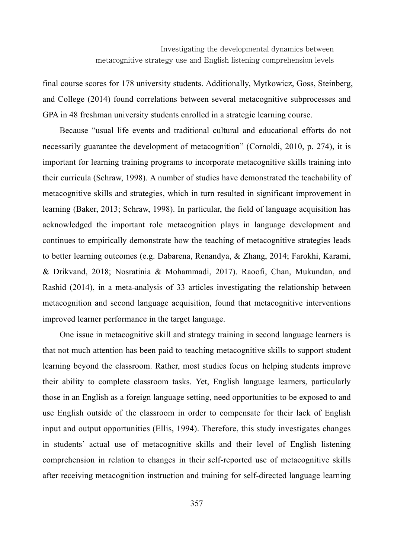final course scores for 178 university students. Additionally, Mytkowicz, Goss, Steinberg, and College (2014) found correlations between several metacognitive subprocesses and GPA in 48 freshman university students enrolled in a strategic learning course.

Because "usual life events and traditional cultural and educational efforts do not necessarily guarantee the development of metacognition" (Cornoldi, 2010, p. 274), it is important for learning training programs to incorporate metacognitive skills training into their curricula (Schraw, 1998). A number of studies have demonstrated the teachability of metacognitive skills and strategies, which in turn resulted in significant improvement in learning (Baker, 2013; Schraw, 1998). In particular, the field of language acquisition has acknowledged the important role metacognition plays in language development and continues to empirically demonstrate how the teaching of metacognitive strategies leads to better learning outcomes (e.g. Dabarena, Renandya, & Zhang, 2014; Farokhi, Karami, & Drikvand, 2018; Nosratinia & Mohammadi, 2017). Raoofi, Chan, Mukundan, and Rashid (2014), in a meta-analysis of 33 articles investigating the relationship between metacognition and second language acquisition, found that metacognitive interventions improved learner performance in the target language.

One issue in metacognitive skill and strategy training in second language learners is that not much attention has been paid to teaching metacognitive skills to support student learning beyond the classroom. Rather, most studies focus on helping students improve their ability to complete classroom tasks. Yet, English language learners, particularly those in an English as a foreign language setting, need opportunities to be exposed to and use English outside of the classroom in order to compensate for their lack of English input and output opportunities (Ellis, 1994). Therefore, this study investigates changes in students' actual use of metacognitive skills and their level of English listening comprehension in relation to changes in their self-reported use of metacognitive skills after receiving metacognition instruction and training for self-directed language learning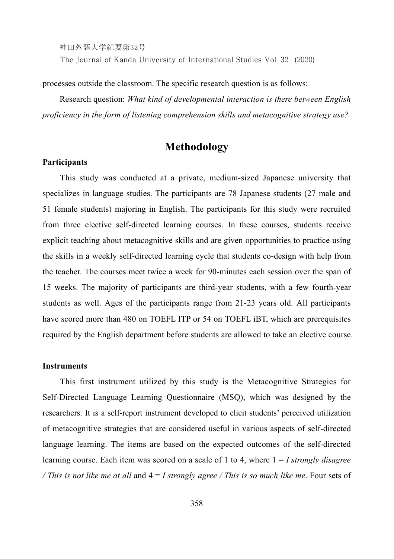神田外語大学紀要第32号 The Journal of Kanda University of International Studies Vol. 32 (2020)

processes outside the classroom. The specific research question is as follows:

Research question: *What kind of developmental interaction is there between English proficiency in the form of listening comprehension skills and metacognitive strategy use?* 

# **Methodology**

#### **Participants**

This study was conducted at a private, medium-sized Japanese university that specializes in language studies. The participants are 78 Japanese students (27 male and 51 female students) majoring in English. The participants for this study were recruited from three elective self-directed learning courses. In these courses, students receive explicit teaching about metacognitive skills and are given opportunities to practice using the skills in a weekly self-directed learning cycle that students co-design with help from the teacher. The courses meet twice a week for 90-minutes each session over the span of 15 weeks. The majority of participants are third-year students, with a few fourth-year students as well. Ages of the participants range from 21-23 years old. All participants have scored more than 480 on TOEFL ITP or 54 on TOEFL iBT, which are prerequisites required by the English department before students are allowed to take an elective course.

#### **Instruments**

This first instrument utilized by this study is the Metacognitive Strategies for Self-Directed Language Learning Questionnaire (MSQ), which was designed by the researchers. It is a self-report instrument developed to elicit students' perceived utilization of metacognitive strategies that are considered useful in various aspects of self-directed language learning. The items are based on the expected outcomes of the self-directed learning course. Each item was scored on a scale of 1 to 4, where 1 = *I strongly disagree / This is not like me at all* and 4 = *I strongly agree / This is so much like me*. Four sets of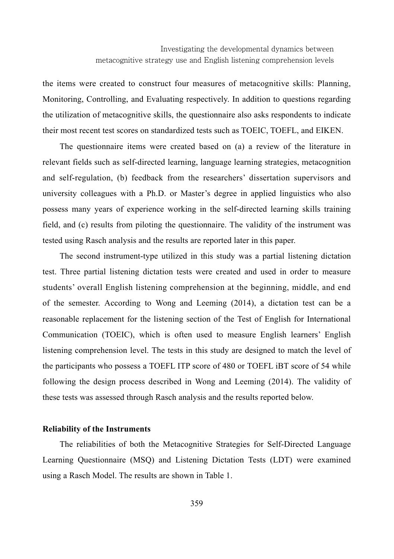the items were created to construct four measures of metacognitive skills: Planning, Monitoring, Controlling, and Evaluating respectively. In addition to questions regarding the utilization of metacognitive skills, the questionnaire also asks respondents to indicate their most recent test scores on standardized tests such as TOEIC, TOEFL, and EIKEN.

The questionnaire items were created based on (a) a review of the literature in relevant fields such as self-directed learning, language learning strategies, metacognition and self-regulation, (b) feedback from the researchers' dissertation supervisors and university colleagues with a Ph.D. or Master's degree in applied linguistics who also possess many years of experience working in the self-directed learning skills training field, and (c) results from piloting the questionnaire. The validity of the instrument was tested using Rasch analysis and the results are reported later in this paper.

The second instrument-type utilized in this study was a partial listening dictation test. Three partial listening dictation tests were created and used in order to measure students' overall English listening comprehension at the beginning, middle, and end of the semester. According to Wong and Leeming (2014), a dictation test can be a reasonable replacement for the listening section of the Test of English for International Communication (TOEIC), which is often used to measure English learners' English listening comprehension level. The tests in this study are designed to match the level of the participants who possess a TOEFL ITP score of 480 or TOEFL iBT score of 54 while following the design process described in Wong and Leeming (2014). The validity of these tests was assessed through Rasch analysis and the results reported below.

#### **Reliability of the Instruments**

The reliabilities of both the Metacognitive Strategies for Self-Directed Language Learning Questionnaire (MSQ) and Listening Dictation Tests (LDT) were examined using a Rasch Model. The results are shown in Table 1.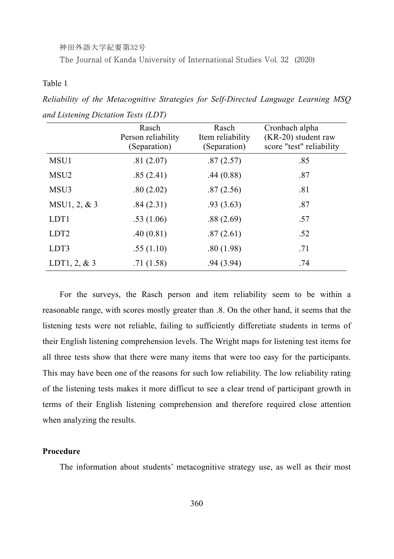The Journal of Kanda University of International Studies Vol. 32 (2020)

Table 1

|                  | Rasch<br>Person reliability<br>(Separation) | Rasch<br>Item reliability<br>(Separation) | Cronbach alpha<br>(KR-20) student raw<br>score "test" reliability |
|------------------|---------------------------------------------|-------------------------------------------|-------------------------------------------------------------------|
| MSU1             | .81(2.07)                                   | .87(2.57)                                 | .85                                                               |
| MSU <sub>2</sub> | .85(2.41)                                   | .44(0.88)                                 | .87                                                               |
| MSU3             | .80(2.02)                                   | .87(2.56)                                 | .81                                                               |
| MSU1, 2, & 3     | .84(2.31)                                   | .93(3.63)                                 | .87                                                               |
| LDT1             | .53(1.06)                                   | .88(2.69)                                 | .57                                                               |
| LDT <sub>2</sub> | .40(0.81)                                   | .87(2.61)                                 | .52                                                               |
| LDT3             | .55(1.10)                                   | .80(1.98)                                 | .71                                                               |
| LDT1, 2, $&3$    | .71(1.58)                                   | .94(3.94)                                 | .74                                                               |

*Reliability of the Metacognitive Strategies for Self-Directed Language Learning MSQ and Listening Dictation Tests (LDT)* 

For the surveys, the Rasch person and item reliability seem to be within a reasonable range, with scores mostly greater than .8. On the other hand, it seems that the listening tests were not reliable, failing to sufficiently differetiate students in terms of their English listening comprehension levels. The Wright maps for listening test items for all three tests show that there were many items that were too easy for the participants. This may have been one of the reasons for such low reliability. The low reliability rating of the listening tests makes it more difficut to see a clear trend of participant growth in terms of their English listening comprehension and therefore required close attention when analyzing the results.

#### **Procedure**

The information about students' metacognitive strategy use, as well as their most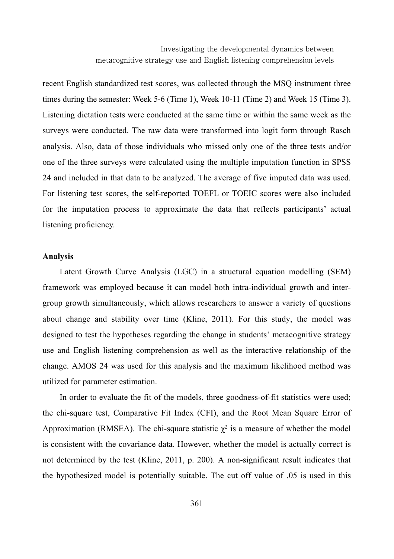Investigating the developmental dynamics between metacognitive strategy use and English listening comprehension levels

recent English standardized test scores, was collected through the MSQ instrument three times during the semester: Week 5-6 (Time 1), Week 10-11 (Time 2) and Week 15 (Time 3). Listening dictation tests were conducted at the same time or within the same week as the surveys were conducted. The raw data were transformed into logit form through Rasch analysis. Also, data of those individuals who missed only one of the three tests and/or one of the three surveys were calculated using the multiple imputation function in SPSS 24 and included in that data to be analyzed. The average of five imputed data was used. For listening test scores, the self-reported TOEFL or TOEIC scores were also included for the imputation process to approximate the data that reflects participants' actual listening proficiency.

#### **Analysis**

Latent Growth Curve Analysis (LGC) in a structural equation modelling (SEM) framework was employed because it can model both intra-individual growth and intergroup growth simultaneously, which allows researchers to answer a variety of questions about change and stability over time (Kline, 2011). For this study, the model was designed to test the hypotheses regarding the change in students' metacognitive strategy use and English listening comprehension as well as the interactive relationship of the change. AMOS 24 was used for this analysis and the maximum likelihood method was utilized for parameter estimation.

In order to evaluate the fit of the models, three goodness-of-fit statistics were used; the chi-square test, Comparative Fit Index (CFI), and the Root Mean Square Error of Approximation (RMSEA). The chi-square statistic  $\chi^2$  is a measure of whether the model is consistent with the covariance data. However, whether the model is actually correct is not determined by the test (Kline, 2011, p. 200). A non-significant result indicates that the hypothesized model is potentially suitable. The cut off value of .05 is used in this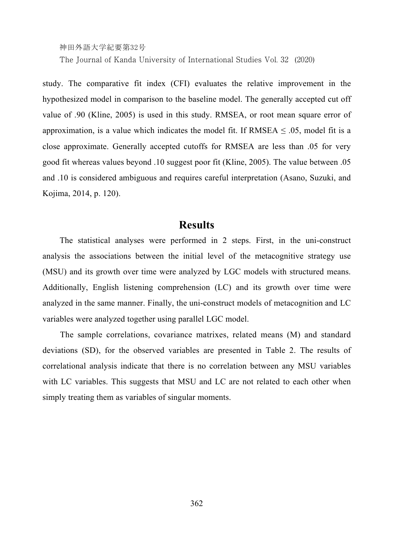The Journal of Kanda University of International Studies Vol. 32 (2020)

study. The comparative fit index (CFI) evaluates the relative improvement in the hypothesized model in comparison to the baseline model. The generally accepted cut off value of .90 (Kline, 2005) is used in this study. RMSEA, or root mean square error of approximation, is a value which indicates the model fit. If RMSEA  $\leq$  0.05, model fit is a close approximate. Generally accepted cutoffs for RMSEA are less than .05 for very good fit whereas values beyond .10 suggest poor fit (Kline, 2005). The value between .05 and .10 is considered ambiguous and requires careful interpretation (Asano, Suzuki, and Kojima, 2014, p. 120).

## **Results**

The statistical analyses were performed in 2 steps. First, in the uni-construct analysis the associations between the initial level of the metacognitive strategy use (MSU) and its growth over time were analyzed by LGC models with structured means. Additionally, English listening comprehension (LC) and its growth over time were analyzed in the same manner. Finally, the uni-construct models of metacognition and LC variables were analyzed together using parallel LGC model.

The sample correlations, covariance matrixes, related means (M) and standard deviations (SD), for the observed variables are presented in Table 2. The results of correlational analysis indicate that there is no correlation between any MSU variables with LC variables. This suggests that MSU and LC are not related to each other when simply treating them as variables of singular moments.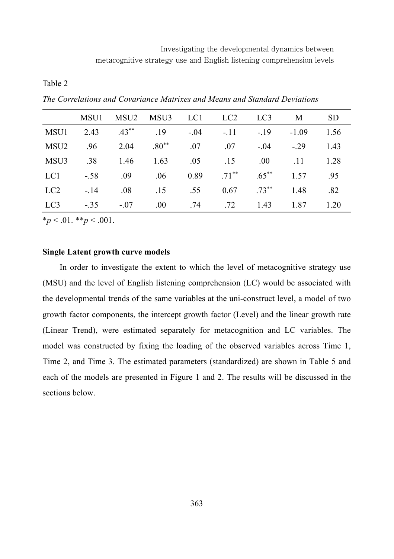| abie |
|------|
|------|

*The Correlations and Covariance Matrixes and Means and Standard Deviations* 

|                 | MSU1   | MSU2     | MSU3 LC1 |        | LC <sub>2</sub>  | LC <sub>3</sub> | M       | <b>SD</b> |
|-----------------|--------|----------|----------|--------|------------------|-----------------|---------|-----------|
| MSU1            | 2.43   | $.43***$ | 19       | $-.04$ | $-.11$           | $-19$           | $-1.09$ | 1.56      |
| MSU2            | .96    | 2.04     | $.80**$  | .07    | .07              | $-.04$          | $-29$   | 1.43      |
| MSU3            | .38    | 1.46     | 1.63     | .05    | .15              | .00.            | .11     | 1.28      |
| LC1             | $-.58$ | .09      | .06      | 0.89   | $71***$          | $.65***$        | 1.57    | .95       |
| LC <sub>2</sub> | $-14$  | .08      | .15      | .55    | 0.67             | $.73***$        | 1.48    | .82       |
| LC3             | $-.35$ | $-.07$   | .00.     | .74    | .72 <sub>1</sub> | 1.43            | 1.87    | 1.20      |

 $*_p$  < .01.  $*_p$  < .001.

#### **Single Latent growth curve models**

In order to investigate the extent to which the level of metacognitive strategy use (MSU) and the level of English listening comprehension (LC) would be associated with the developmental trends of the same variables at the uni-construct level, a model of two growth factor components, the intercept growth factor (Level) and the linear growth rate (Linear Trend), were estimated separately for metacognition and LC variables. The model was constructed by fixing the loading of the observed variables across Time 1, Time 2, and Time 3. The estimated parameters (standardized) are shown in Table 5 and each of the models are presented in Figure 1 and 2. The results will be discussed in the sections below.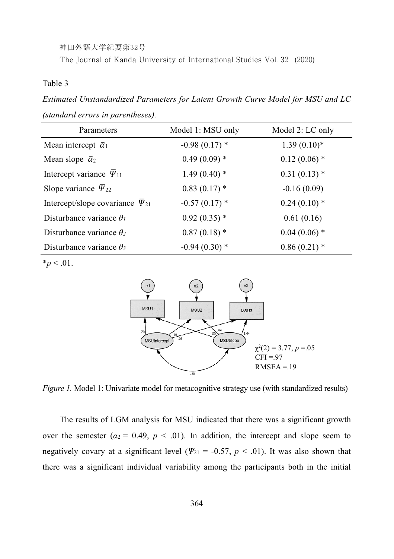The Journal of Kanda University of International Studies Vol. 32 (2020)

#### Table 3

*Estimated Unstandardized Parameters for Latent Growth Curve Model for MSU and LC (standard errors in parentheses).* 

| Parameters                                   | Model 1: MSU only | Model 2: LC only |
|----------------------------------------------|-------------------|------------------|
| Mean intercept $\bar{\alpha}_1$              | $-0.98(0.17)$ *   | $1.39(0.10)*$    |
| Mean slope $\bar{\alpha}_2$                  | $0.49(0.09)$ *    | $0.12(0.06)$ *   |
| Intercept variance $\bar{\Psi}_{11}$         | $1.49(0.40)$ *    | $0.31(0.13)$ *   |
| Slope variance $\bar{\Psi}_{22}$             | $0.83(0.17)$ *    | $-0.16(0.09)$    |
| Intercept/slope covariance $\bar{\Psi}_{21}$ | $-0.57(0.17)$ *   | $0.24(0.10)*$    |
| Disturbance variance $\theta_l$              | $0.92(0.35)$ *    | 0.61(0.16)       |
| Disturbance variance $\theta_2$              | $0.87(0.18)$ *    | $0.04(0.06)$ *   |
| Disturbance variance $\theta_3$              | $-0.94(0.30)$ *   | $0.86(0.21)$ *   |

 $*_{p}$  < .01.



*Figure 1.* Model 1: Univariate model for metacognitive strategy use (with standardized results)

The results of LGM analysis for MSU indicated that there was a significant growth over the semester  $(a_2 = 0.49, p < .01)$ . In addition, the intercept and slope seem to negatively covary at a significant level ( $\Psi_{21}$  = -0.57, *p* < .01). It was also shown that there was a significant individual variability among the participants both in the initial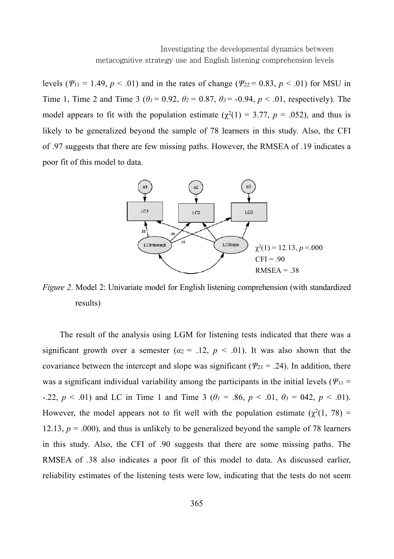levels ( $\Psi_{11} = 1.49$ ,  $p < .01$ ) and in the rates of change ( $\Psi_{22} = 0.83$ ,  $p < .01$ ) for MSU in Time 1, Time 2 and Time 3 ( $\theta_1 = 0.92$ ,  $\theta_2 = 0.87$ ,  $\theta_3 = -0.94$ ,  $p < .01$ , respectively). The model appears to fit with the population estimate ( $\chi^2(1) = 3.77$ ,  $p = .052$ ), and thus is likely to be generalized beyond the sample of 78 learners in this study. Also, the CFI of .97 suggests that there are few missing paths. However, the RMSEA of .19 indicates a poor fit of this model to data.



*Figure 2*. Model 2: Univariate model for English listening comprehension (with standardized results)

The result of the analysis using LGM for listening tests indicated that there was a significant growth over a semester  $(a_2 = .12, p < .01)$ . It was also shown that the covariance between the intercept and slope was significant ( $\Psi_{21}$  = .24). In addition, there was a significant individual variability among the participants in the initial levels ( $\Psi_{11}$  = -.22,  $p < .01$ ) and LC in Time 1 and Time 3 ( $\theta_l = .86$ ,  $p < .01$ ,  $\theta_3 = 042$ ,  $p < .01$ ). However, the model appears not to fit well with the population estimate ( $\chi^2(1, 78)$ ) = 12.13,  $p = .000$ ), and thus is unlikely to be generalized beyond the sample of 78 learners in this study. Also, the CFI of .90 suggests that there are some missing paths. The RMSEA of .38 also indicates a poor fit of this model to data. As discussed earlier, reliability estimates of the listening tests were low, indicating that the tests do not seem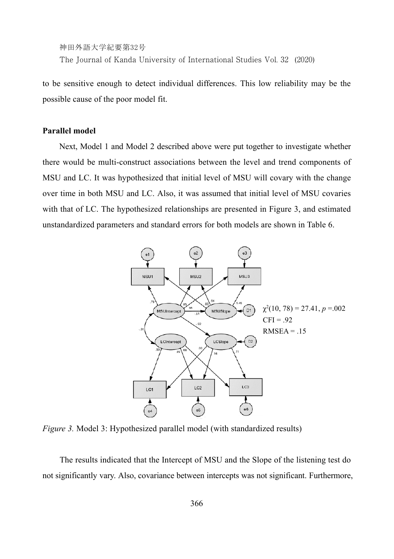神田外語大学紀要第32号 The Journal of Kanda University of International Studies Vol. 32 (2020)

to be sensitive enough to detect individual differences. This low reliability may be the possible cause of the poor model fit.

#### **Parallel model**

Next, Model 1 and Model 2 described above were put together to investigate whether there would be multi-construct associations between the level and trend components of MSU and LC. It was hypothesized that initial level of MSU will covary with the change over time in both MSU and LC. Also, it was assumed that initial level of MSU covaries with that of LC. The hypothesized relationships are presented in Figure 3, and estimated unstandardized parameters and standard errors for both models are shown in Table 6.



*Figure 3.* Model 3: Hypothesized parallel model (with standardized results)

The results indicated that the Intercept of MSU and the Slope of the listening test do not significantly vary. Also, covariance between intercepts was not significant. Furthermore,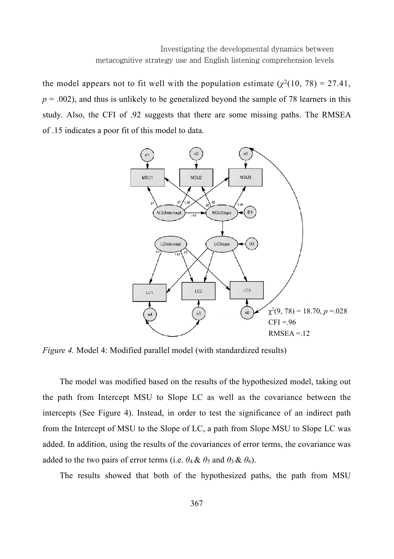the model appears not to fit well with the population estimate  $(\chi^2(10, 78) = 27.41)$ ,  $p = .002$ ), and thus is unlikely to be generalized beyond the sample of 78 learners in this study. Also, the CFI of .92 suggests that there are some missing paths. The RMSEA of .15 indicates a poor fit of this model to data.



*Figure 4.* Model 4: Modified parallel model (with standardized results)

The model was modified based on the results of the hypothesized model, taking out the path from Intercept MSU to Slope LC as well as the covariance between the intercepts (See Figure 4). Instead, in order to test the significance of an indirect path from the Intercept of MSU to the Slope of LC, a path from Slope MSU to Slope LC was added. In addition, using the results of the covariances of error terms, the covariance was added to the two pairs of error terms (i.e.  $\theta_4 \& \theta_5$  and  $\theta_3 \& \theta_6$ ).

The results showed that both of the hypothesized paths, the path from MSU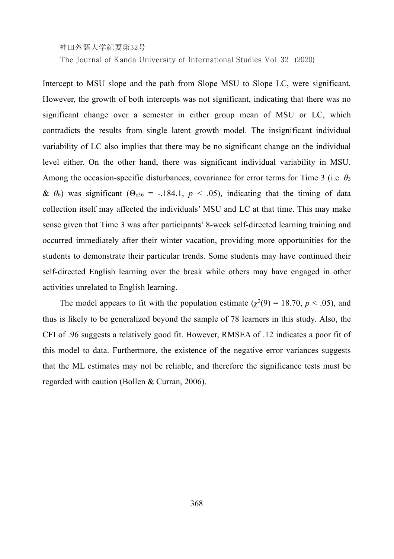The Journal of Kanda University of International Studies Vol. 32 (2020)

Intercept to MSU slope and the path from Slope MSU to Slope LC, were significant. However, the growth of both intercepts was not significant, indicating that there was no significant change over a semester in either group mean of MSU or LC, which contradicts the results from single latent growth model. The insignificant individual variability of LC also implies that there may be no significant change on the individual level either. On the other hand, there was significant individual variability in MSU. Among the occasion-specific disturbances, covariance for error terms for Time 3 (i.e. *θ*<sup>3</sup> &  $θ_6$ ) was significant ( $Θ_{ε36}$  = -.184.1, *p* < .05), indicating that the timing of data collection itself may affected the individuals' MSU and LC at that time. This may make sense given that Time 3 was after participants' 8-week self-directed learning training and occurred immediately after their winter vacation, providing more opportunities for the students to demonstrate their particular trends. Some students may have continued their self-directed English learning over the break while others may have engaged in other activities unrelated to English learning.

The model appears to fit with the population estimate ( $\chi^2(9) = 18.70$ ,  $p < .05$ ), and thus is likely to be generalized beyond the sample of 78 learners in this study. Also, the CFI of .96 suggests a relatively good fit. However, RMSEA of .12 indicates a poor fit of this model to data. Furthermore, the existence of the negative error variances suggests that the ML estimates may not be reliable, and therefore the significance tests must be regarded with caution (Bollen & Curran, 2006).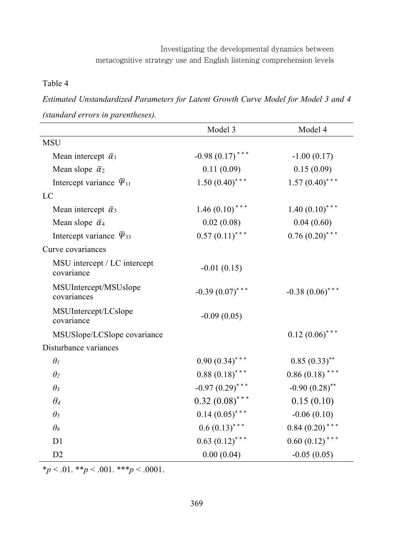#### Table 4

*Estimated Unstandardized Parameters for Latent Growth Curve Model for Model 3 and 4 (standard errors in parentheses).* 

|                                            | Model 3           | Model 4           |
|--------------------------------------------|-------------------|-------------------|
| <b>MSU</b>                                 |                   |                   |
| Mean intercept $\bar{\alpha}_1$            | $-0.98(0.17)$ *** | $-1.00(0.17)$     |
| Mean slope $\bar{\alpha}_2$                | 0.11(0.09)        | 0.15(0.09)        |
| Intercept variance $\bar{\Psi}_{11}$       | $1.50(0.40)$ ***  | $1.57(0.40)$ ***  |
| LC                                         |                   |                   |
| Mean intercept $\bar{\alpha}_3$            | $1.46(0.10)$ ***  | $1.40(0.10)$ ***  |
| Mean slope $\bar{\alpha}_4$                | 0.02(0.08)        | 0.04(0.60)        |
| Intercept variance $\bar{\Psi}_{33}$       | $0.57(0.11)$ ***  | $0.76(0.20)$ ***  |
| Curve covariances                          |                   |                   |
| MSU intercept / LC intercept<br>covariance | $-0.01(0.15)$     |                   |
| MSUIntercept/MSUslope<br>covariances       | $-0.39(0.07)$ *** | $-0.38(0.06)$ *** |
| MSUIntercept/LCslope<br>covariance         | $-0.09(0.05)$     |                   |
| MSUSlope/LCSlope covariance                |                   | $0.12(0.06)$ ***  |
| Disturbance variances                      |                   |                   |
| $\theta_I$                                 | $0.90(0.34)$ ***  | $0.85(0.33)$ **   |
| $\theta_2$                                 | $0.88(0.18)$ ***  | $0.86(0.18)$ ***  |
| $\theta_3$                                 | $-0.97(0.29)$ *** | $-0.90(0.28)$ **  |
| $\theta_4$                                 | $0.32(0.08)$ ***  | 0.15(0.10)        |
| $\theta_5$                                 | $0.14(0.05)$ ***  | $-0.06(0.10)$     |
| $\theta_6$                                 | $0.6(0.13)$ ***   | $0.84(0.20)$ ***  |
| D <sub>1</sub>                             | $0.63 (0.12)$ *** | $0.60(0.12)$ ***  |
| D2                                         | 0.00(0.04)        | $-0.05(0.05)$     |

 $*_{p}$  < .01.  $*_{p}$  < .001.  $*_{p}$  < .0001.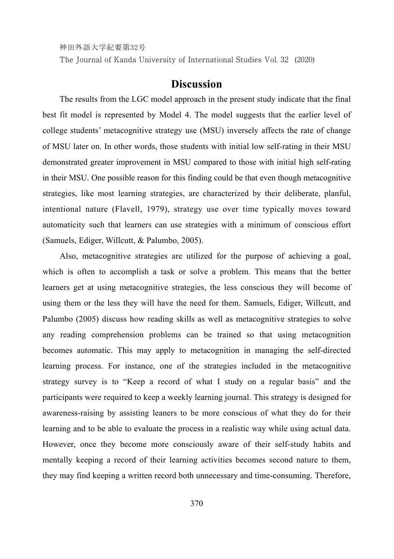The Journal of Kanda University of International Studies Vol. 32 (2020)

# **Discussion**

The results from the LGC model approach in the present study indicate that the final best fit model is represented by Model 4. The model suggests that the earlier level of college students' metacognitive strategy use (MSU) inversely affects the rate of change of MSU later on. In other words, those students with initial low self-rating in their MSU demonstrated greater improvement in MSU compared to those with initial high self-rating in their MSU. One possible reason for this finding could be that even though metacognitive strategies, like most learning strategies, are characterized by their deliberate, planful, intentional nature (Flavell, 1979), strategy use over time typically moves toward automaticity such that learners can use strategies with a minimum of conscious effort (Samuels, Ediger, Willcutt, & Palumbo, 2005).

Also, metacognitive strategies are utilized for the purpose of achieving a goal, which is often to accomplish a task or solve a problem. This means that the better learners get at using metacognitive strategies, the less conscious they will become of using them or the less they will have the need for them. Samuels, Ediger, Willcutt, and Palumbo (2005) discuss how reading skills as well as metacognitive strategies to solve any reading comprehension problems can be trained so that using metacognition becomes automatic. This may apply to metacognition in managing the self-directed learning process. For instance, one of the strategies included in the metacognitive strategy survey is to "Keep a record of what I study on a regular basis" and the participants were required to keep a weekly learning journal. This strategy is designed for awareness-raising by assisting leaners to be more conscious of what they do for their learning and to be able to evaluate the process in a realistic way while using actual data. However, once they become more consciously aware of their self-study habits and mentally keeping a record of their learning activities becomes second nature to them, they may find keeping a written record both unnecessary and time-consuming. Therefore,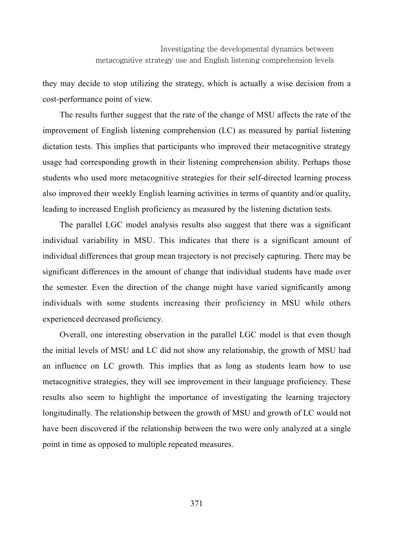they may decide to stop utilizing the strategy, which is actually a wise decision from a cost-performance point of view.

The results further suggest that the rate of the change of MSU affects the rate of the improvement of English listening comprehension (LC) as measured by partial listening dictation tests. This implies that participants who improved their metacognitive strategy usage had corresponding growth in their listening comprehension ability. Perhaps those students who used more metacognitive strategies for their self-directed learning process also improved their weekly English learning activities in terms of quantity and/or quality, leading to increased English proficiency as measured by the listening dictation tests.

The parallel LGC model analysis results also suggest that there was a significant individual variability in MSU. This indicates that there is a significant amount of individual differences that group mean trajectory is not precisely capturing. There may be significant differences in the amount of change that individual students have made over the semester. Even the direction of the change might have varied significantly among individuals with some students increasing their proficiency in MSU while others experienced decreased proficiency.

Overall, one interesting observation in the parallel LGC model is that even though the initial levels of MSU and LC did not show any relationship, the growth of MSU had an influence on LC growth. This implies that as long as students learn how to use metacognitive strategies, they will see improvement in their language proficiency. These results also seem to highlight the importance of investigating the learning trajectory longitudinally. The relationship between the growth of MSU and growth of LC would not have been discovered if the relationship between the two were only analyzed at a single point in time as opposed to multiple repeated measures.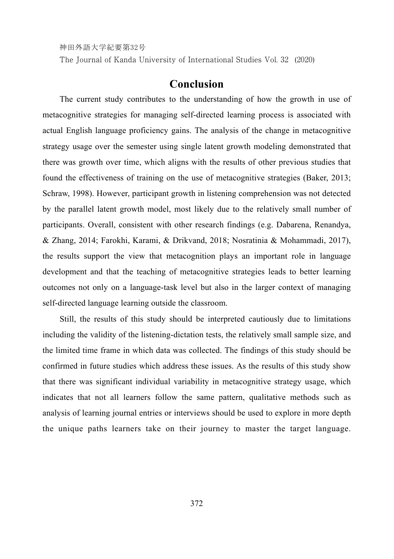The Journal of Kanda University of International Studies Vol. 32 (2020)

# **Conclusion**

The current study contributes to the understanding of how the growth in use of metacognitive strategies for managing self-directed learning process is associated with actual English language proficiency gains. The analysis of the change in metacognitive strategy usage over the semester using single latent growth modeling demonstrated that there was growth over time, which aligns with the results of other previous studies that found the effectiveness of training on the use of metacognitive strategies (Baker, 2013; Schraw, 1998). However, participant growth in listening comprehension was not detected by the parallel latent growth model, most likely due to the relatively small number of participants. Overall, consistent with other research findings (e.g. Dabarena, Renandya, & Zhang, 2014; Farokhi, Karami, & Drikvand, 2018; Nosratinia & Mohammadi, 2017), the results support the view that metacognition plays an important role in language development and that the teaching of metacognitive strategies leads to better learning outcomes not only on a language-task level but also in the larger context of managing self-directed language learning outside the classroom.

Still, the results of this study should be interpreted cautiously due to limitations including the validity of the listening-dictation tests, the relatively small sample size, and the limited time frame in which data was collected. The findings of this study should be confirmed in future studies which address these issues. As the results of this study show that there was significant individual variability in metacognitive strategy usage, which indicates that not all learners follow the same pattern, qualitative methods such as analysis of learning journal entries or interviews should be used to explore in more depth the unique paths learners take on their journey to master the target language.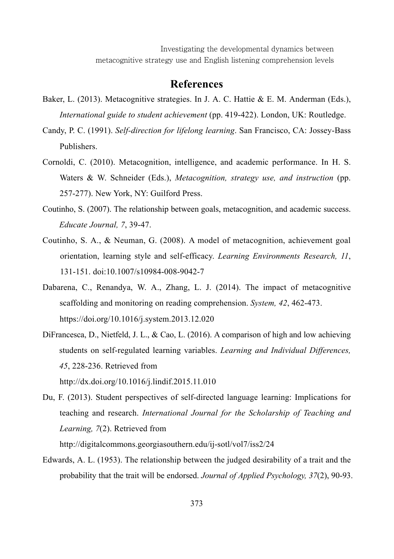Investigating the developmental dynamics between metacognitive strategy use and English listening comprehension levels

### **References**

- Baker, L. (2013). Metacognitive strategies. In J. A. C. Hattie & E. M. Anderman (Eds.), *International guide to student achievement* (pp. 419-422). London, UK: Routledge.
- Candy, P. C. (1991). *Self-direction for lifelong learning*. San Francisco, CA: Jossey-Bass Publishers.
- Cornoldi, C. (2010). Metacognition, intelligence, and academic performance. In H. S. Waters & W. Schneider (Eds.), *Metacognition, strategy use, and instruction* (pp. 257-277). New York, NY: Guilford Press.
- Coutinho, S. (2007). The relationship between goals, metacognition, and academic success. *Educate Journal, 7*, 39-47.
- Coutinho, S. A., & Neuman, G. (2008). A model of metacognition, achievement goal orientation, learning style and self-efficacy. *Learning Environments Research, 11*, 131-151. doi:10.1007/s10984-008-9042-7
- Dabarena, C., Renandya, W. A., Zhang, L. J. (2014). The impact of metacognitive scaffolding and monitoring on reading comprehension. *System, 42*, 462-473. https://doi.org/10.1016/j.system.2013.12.020
- DiFrancesca, D., Nietfeld, J. L., & Cao, L. (2016). A comparison of high and low achieving students on self-regulated learning variables. *Learning and Individual Differences, 45*, 228-236. Retrieved from http://dx.doi.org/10.1016/j.lindif.2015.11.010
- Du, F. (2013). Student perspectives of self-directed language learning: Implications for teaching and research. *International Journal for the Scholarship of Teaching and Learning, 7*(2). Retrieved from

http://digitalcommons.georgiasouthern.edu/ij-sotl/vol7/iss2/24

Edwards, A. L. (1953). The relationship between the judged desirability of a trait and the probability that the trait will be endorsed. *Journal of Applied Psychology, 37*(2), 90-93.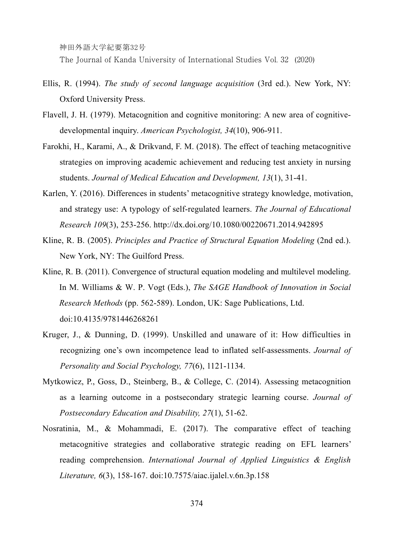The Journal of Kanda University of International Studies Vol. 32 (2020)

- Ellis, R. (1994). *The study of second language acquisition* (3rd ed.). New York, NY: Oxford University Press.
- Flavell, J. H. (1979). Metacognition and cognitive monitoring: A new area of cognitivedevelopmental inquiry. *American Psychologist, 34*(10), 906-911.
- Farokhi, H., Karami, A., & Drikvand, F. M. (2018). The effect of teaching metacognitive strategies on improving academic achievement and reducing test anxiety in nursing students. *Journal of Medical Education and Development, 13*(1), 31-41.
- Karlen, Y. (2016). Differences in students' metacognitive strategy knowledge, motivation, and strategy use: A typology of self-regulated learners. *The Journal of Educational Research 109*(3), 253-256. http://dx.doi.org/10.1080/00220671.2014.942895
- Kline, R. B. (2005). *Principles and Practice of Structural Equation Modeling* (2nd ed.). New York, NY: The Guilford Press.
- Kline, R. B. (2011). Convergence of structural equation modeling and multilevel modeling. In M. Williams & W. P. Vogt (Eds.), *The SAGE Handbook of Innovation in Social Research Methods* (pp. 562-589). London, UK: Sage Publications, Ltd. doi:10.4135/9781446268261
- Kruger, J., & Dunning, D. (1999). Unskilled and unaware of it: How difficulties in recognizing one's own incompetence lead to inflated self-assessments. *Journal of Personality and Social Psychology, 77*(6), 1121-1134.
- Mytkowicz, P., Goss, D., Steinberg, B., & College, C. (2014). Assessing metacognition as a learning outcome in a postsecondary strategic learning course. *Journal of Postsecondary Education and Disability, 27*(1), 51-62.
- Nosratinia, M., & Mohammadi, E. (2017). The comparative effect of teaching metacognitive strategies and collaborative strategic reading on EFL learners' reading comprehension. *International Journal of Applied Linguistics & English Literature, 6*(3), 158-167. doi:10.7575/aiac.ijalel.v.6n.3p.158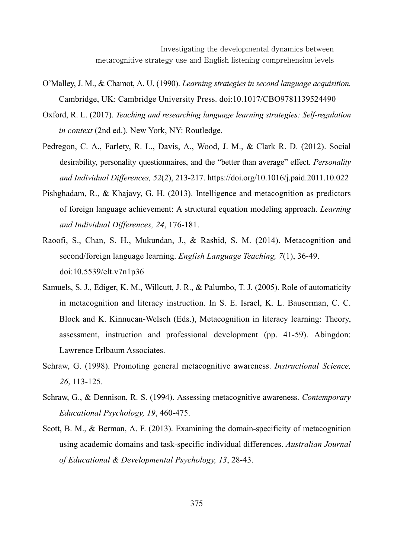Investigating the developmental dynamics between metacognitive strategy use and English listening comprehension levels

- O'Malley, J. M., & Chamot, A. U. (1990). *Learning strategies in second language acquisition.*  Cambridge, UK: Cambridge University Press. doi:10.1017/CBO9781139524490
- Oxford, R. L. (2017). *Teaching and researching language learning strategies: Self-regulation in context* (2nd ed.). New York, NY: Routledge.
- Pedregon, C. A., Farlety, R. L., Davis, A., Wood, J. M., & Clark R. D. (2012). Social desirability, personality questionnaires, and the "better than average" effect. *Personality and Individual Differences, 52*(2), 213-217. https://doi.org/10.1016/j.paid.2011.10.022
- Pishghadam, R., & Khajavy, G. H. (2013). Intelligence and metacognition as predictors of foreign language achievement: A structural equation modeling approach. *Learning and Individual Differences, 24*, 176-181.
- Raoofi, S., Chan, S. H., Mukundan, J., & Rashid, S. M. (2014). Metacognition and second/foreign language learning. *English Language Teaching, 7*(1), 36-49. doi:10.5539/elt.v7n1p36
- Samuels, S. J., Ediger, K. M., Willcutt, J. R., & Palumbo, T. J. (2005). Role of automaticity in metacognition and literacy instruction. In S. E. Israel, K. L. Bauserman, C. C. Block and K. Kinnucan-Welsch (Eds.), Metacognition in literacy learning: Theory, assessment, instruction and professional development (pp. 41-59). Abingdon: Lawrence Erlbaum Associates.
- Schraw, G. (1998). Promoting general metacognitive awareness. *Instructional Science, 26*, 113-125.
- Schraw, G., & Dennison, R. S. (1994). Assessing metacognitive awareness. *Contemporary Educational Psychology, 19*, 460-475.
- Scott, B. M., & Berman, A. F. (2013). Examining the domain-specificity of metacognition using academic domains and task-specific individual differences. *Australian Journal of Educational & Developmental Psychology, 13*, 28-43.